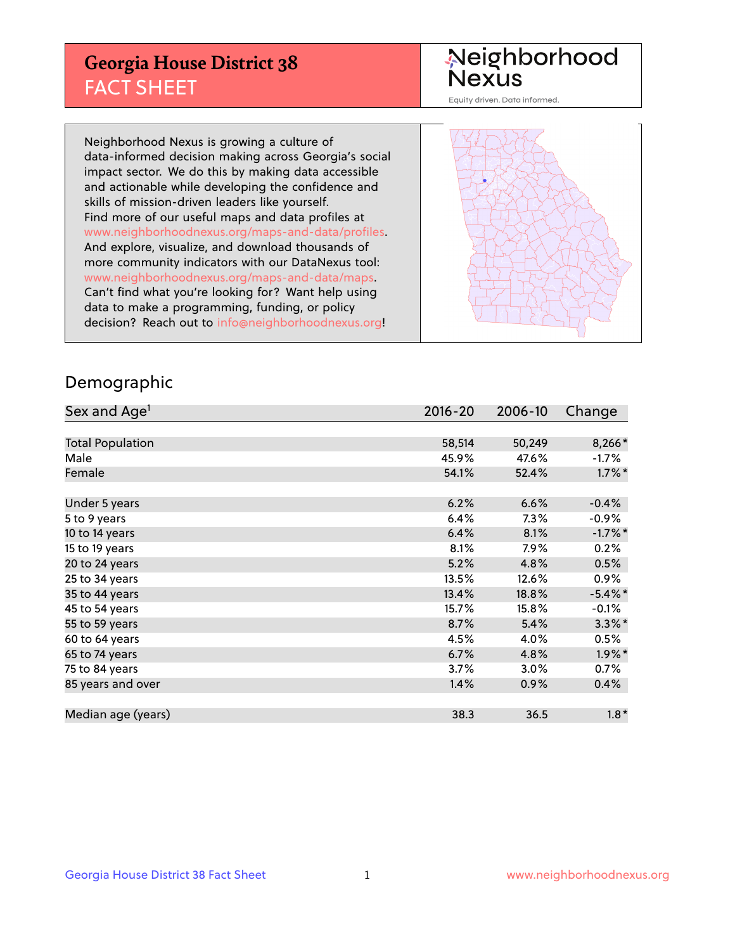## **Georgia House District 38** FACT SHEET

# Neighborhood<br>Nexus

Equity driven. Data informed.

Neighborhood Nexus is growing a culture of data-informed decision making across Georgia's social impact sector. We do this by making data accessible and actionable while developing the confidence and skills of mission-driven leaders like yourself. Find more of our useful maps and data profiles at www.neighborhoodnexus.org/maps-and-data/profiles. And explore, visualize, and download thousands of more community indicators with our DataNexus tool: www.neighborhoodnexus.org/maps-and-data/maps. Can't find what you're looking for? Want help using data to make a programming, funding, or policy decision? Reach out to [info@neighborhoodnexus.org!](mailto:info@neighborhoodnexus.org)



#### Demographic

| Sex and Age <sup>1</sup> | $2016 - 20$ | 2006-10 | Change     |
|--------------------------|-------------|---------|------------|
|                          |             |         |            |
| <b>Total Population</b>  | 58,514      | 50,249  | 8,266*     |
| Male                     | 45.9%       | 47.6%   | $-1.7\%$   |
| Female                   | 54.1%       | 52.4%   | $1.7\%$ *  |
|                          |             |         |            |
| Under 5 years            | 6.2%        | 6.6%    | $-0.4%$    |
| 5 to 9 years             | 6.4%        | $7.3\%$ | $-0.9\%$   |
| 10 to 14 years           | 6.4%        | 8.1%    | $-1.7%$ *  |
| 15 to 19 years           | 8.1%        | 7.9%    | 0.2%       |
| 20 to 24 years           | 5.2%        | 4.8%    | 0.5%       |
| 25 to 34 years           | 13.5%       | 12.6%   | $0.9\%$    |
| 35 to 44 years           | 13.4%       | 18.8%   | $-5.4\%$ * |
| 45 to 54 years           | 15.7%       | 15.8%   | $-0.1%$    |
| 55 to 59 years           | 8.7%        | 5.4%    | $3.3\%$ *  |
| 60 to 64 years           | 4.5%        | 4.0%    | 0.5%       |
| 65 to 74 years           | 6.7%        | 4.8%    | $1.9\%$ *  |
| 75 to 84 years           | 3.7%        | 3.0%    | 0.7%       |
| 85 years and over        | 1.4%        | 0.9%    | 0.4%       |
|                          |             |         |            |
| Median age (years)       | 38.3        | 36.5    | $1.8*$     |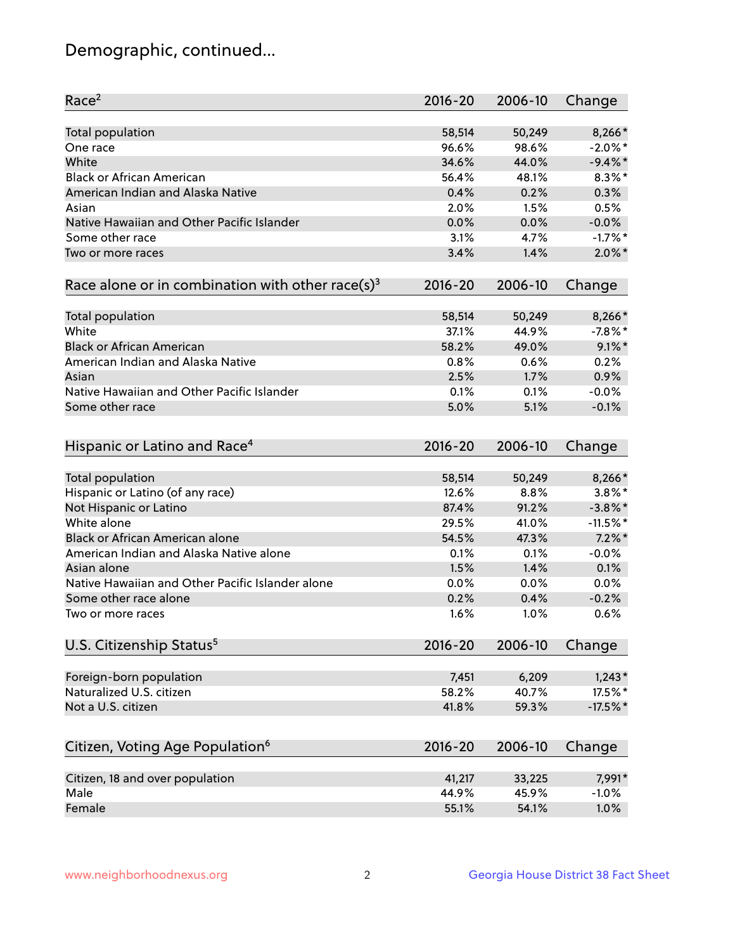## Demographic, continued...

| Race <sup>2</sup>                                            | $2016 - 20$ | 2006-10 | Change     |
|--------------------------------------------------------------|-------------|---------|------------|
| Total population                                             | 58,514      | 50,249  | 8,266*     |
| One race                                                     | 96.6%       | 98.6%   | $-2.0\%$ * |
| White                                                        | 34.6%       | 44.0%   | $-9.4\%$ * |
| <b>Black or African American</b>                             | 56.4%       | 48.1%   | $8.3\%$ *  |
| American Indian and Alaska Native                            | 0.4%        | 0.2%    | 0.3%       |
| Asian                                                        | 2.0%        | 1.5%    | 0.5%       |
| Native Hawaiian and Other Pacific Islander                   | 0.0%        | 0.0%    | $-0.0%$    |
| Some other race                                              | 3.1%        | 4.7%    | $-1.7%$ *  |
| Two or more races                                            | 3.4%        | 1.4%    | $2.0\%$ *  |
| Race alone or in combination with other race(s) <sup>3</sup> | $2016 - 20$ | 2006-10 | Change     |
|                                                              |             |         |            |
| Total population                                             | 58,514      | 50,249  | 8,266*     |
| White                                                        | 37.1%       | 44.9%   | $-7.8\%$ * |
| <b>Black or African American</b>                             | 58.2%       | 49.0%   | $9.1\%$ *  |
| American Indian and Alaska Native                            | 0.8%        | 0.6%    | 0.2%       |
| Asian                                                        | 2.5%        | 1.7%    | 0.9%       |
| Native Hawaiian and Other Pacific Islander                   | 0.1%        | 0.1%    | $-0.0%$    |
| Some other race                                              | 5.0%        | 5.1%    | $-0.1%$    |
|                                                              |             |         |            |
| Hispanic or Latino and Race <sup>4</sup>                     | $2016 - 20$ | 2006-10 | Change     |
| Total population                                             | 58,514      | 50,249  | 8,266*     |
| Hispanic or Latino (of any race)                             | 12.6%       | 8.8%    | $3.8\%$ *  |
| Not Hispanic or Latino                                       | 87.4%       | 91.2%   | $-3.8\%$ * |
| White alone                                                  | 29.5%       | 41.0%   | $-11.5%$ * |
| Black or African American alone                              | 54.5%       | 47.3%   | $7.2\%$ *  |
| American Indian and Alaska Native alone                      | 0.1%        | 0.1%    | $-0.0%$    |
| Asian alone                                                  | 1.5%        | 1.4%    | 0.1%       |
| Native Hawaiian and Other Pacific Islander alone             | 0.0%        | 0.0%    | 0.0%       |
| Some other race alone                                        | 0.2%        | 0.4%    | $-0.2%$    |
| Two or more races                                            | 1.6%        | 1.0%    | 0.6%       |
|                                                              |             |         |            |
| U.S. Citizenship Status <sup>5</sup>                         | 2016-20     | 2006-10 | Change     |
| Foreign-born population                                      | 7,451       | 6,209   | $1,243*$   |
| Naturalized U.S. citizen                                     | 58.2%       | 40.7%   | 17.5%*     |
| Not a U.S. citizen                                           | 41.8%       | 59.3%   | $-17.5%$   |
|                                                              |             |         |            |
| Citizen, Voting Age Population <sup>6</sup>                  | 2016-20     | 2006-10 | Change     |
| Citizen, 18 and over population                              | 41,217      | 33,225  | 7,991*     |
| Male                                                         | 44.9%       | 45.9%   | $-1.0%$    |
| Female                                                       | 55.1%       | 54.1%   | 1.0%       |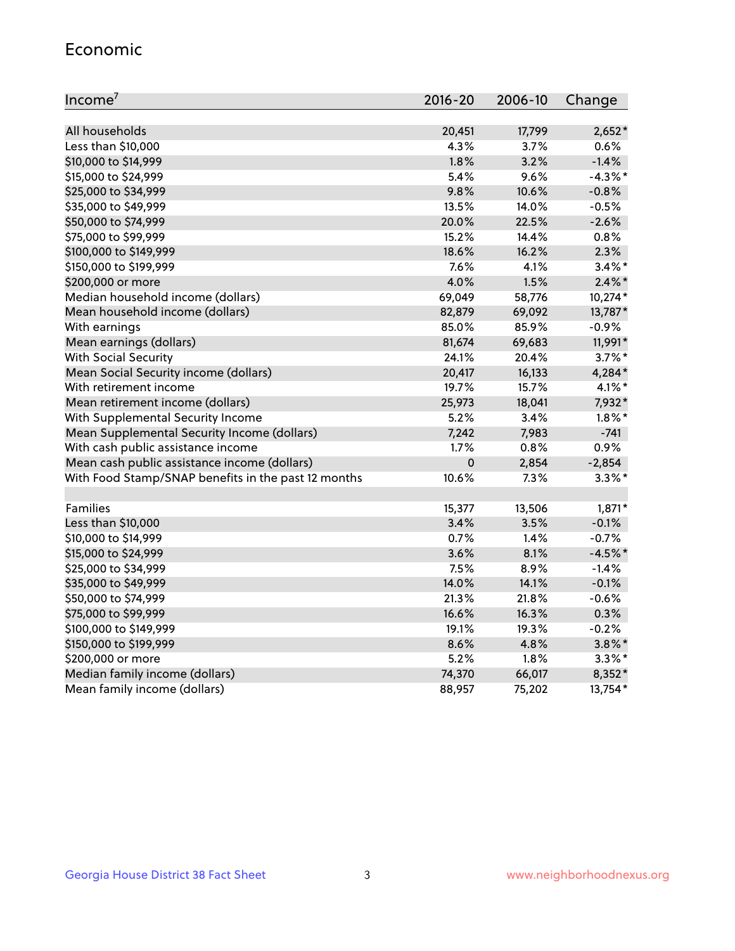#### Economic

| Income <sup>7</sup>                                 | $2016 - 20$ | 2006-10 | Change     |
|-----------------------------------------------------|-------------|---------|------------|
|                                                     |             |         |            |
| All households                                      | 20,451      | 17,799  | $2,652*$   |
| Less than \$10,000                                  | 4.3%        | 3.7%    | 0.6%       |
| \$10,000 to \$14,999                                | 1.8%        | 3.2%    | $-1.4%$    |
| \$15,000 to \$24,999                                | 5.4%        | 9.6%    | $-4.3\%$ * |
| \$25,000 to \$34,999                                | 9.8%        | 10.6%   | $-0.8%$    |
| \$35,000 to \$49,999                                | 13.5%       | 14.0%   | $-0.5%$    |
| \$50,000 to \$74,999                                | 20.0%       | 22.5%   | $-2.6%$    |
| \$75,000 to \$99,999                                | 15.2%       | 14.4%   | 0.8%       |
| \$100,000 to \$149,999                              | 18.6%       | 16.2%   | 2.3%       |
| \$150,000 to \$199,999                              | 7.6%        | 4.1%    | $3.4\%$ *  |
| \$200,000 or more                                   | 4.0%        | 1.5%    | $2.4\%$ *  |
| Median household income (dollars)                   | 69,049      | 58,776  | 10,274*    |
| Mean household income (dollars)                     | 82,879      | 69,092  | 13,787*    |
| With earnings                                       | 85.0%       | 85.9%   | $-0.9%$    |
| Mean earnings (dollars)                             | 81,674      | 69,683  | 11,991*    |
| <b>With Social Security</b>                         | 24.1%       | 20.4%   | $3.7\%$ *  |
| Mean Social Security income (dollars)               | 20,417      | 16,133  | 4,284*     |
| With retirement income                              | 19.7%       | 15.7%   | $4.1\%$ *  |
| Mean retirement income (dollars)                    | 25,973      | 18,041  | 7,932*     |
| With Supplemental Security Income                   | 5.2%        | 3.4%    | $1.8\%$ *  |
| Mean Supplemental Security Income (dollars)         | 7,242       | 7,983   | $-741$     |
| With cash public assistance income                  | 1.7%        | 0.8%    | 0.9%       |
| Mean cash public assistance income (dollars)        | $\mathbf 0$ | 2,854   | $-2,854$   |
| With Food Stamp/SNAP benefits in the past 12 months | 10.6%       | 7.3%    | $3.3\%$ *  |
|                                                     |             |         |            |
| Families                                            | 15,377      | 13,506  | 1,871*     |
| Less than \$10,000                                  | 3.4%        | 3.5%    | $-0.1%$    |
| \$10,000 to \$14,999                                | 0.7%        | 1.4%    | $-0.7%$    |
| \$15,000 to \$24,999                                | 3.6%        | 8.1%    | $-4.5%$ *  |
| \$25,000 to \$34,999                                | 7.5%        | 8.9%    | $-1.4%$    |
| \$35,000 to \$49,999                                | 14.0%       | 14.1%   | $-0.1%$    |
| \$50,000 to \$74,999                                | 21.3%       | 21.8%   | $-0.6%$    |
| \$75,000 to \$99,999                                | 16.6%       | 16.3%   | 0.3%       |
| \$100,000 to \$149,999                              | 19.1%       | 19.3%   | $-0.2%$    |
| \$150,000 to \$199,999                              | 8.6%        | 4.8%    | $3.8\%$ *  |
| \$200,000 or more                                   | 5.2%        | 1.8%    | $3.3\%$ *  |
| Median family income (dollars)                      | 74,370      | 66,017  | 8,352*     |
| Mean family income (dollars)                        | 88,957      | 75,202  | 13,754*    |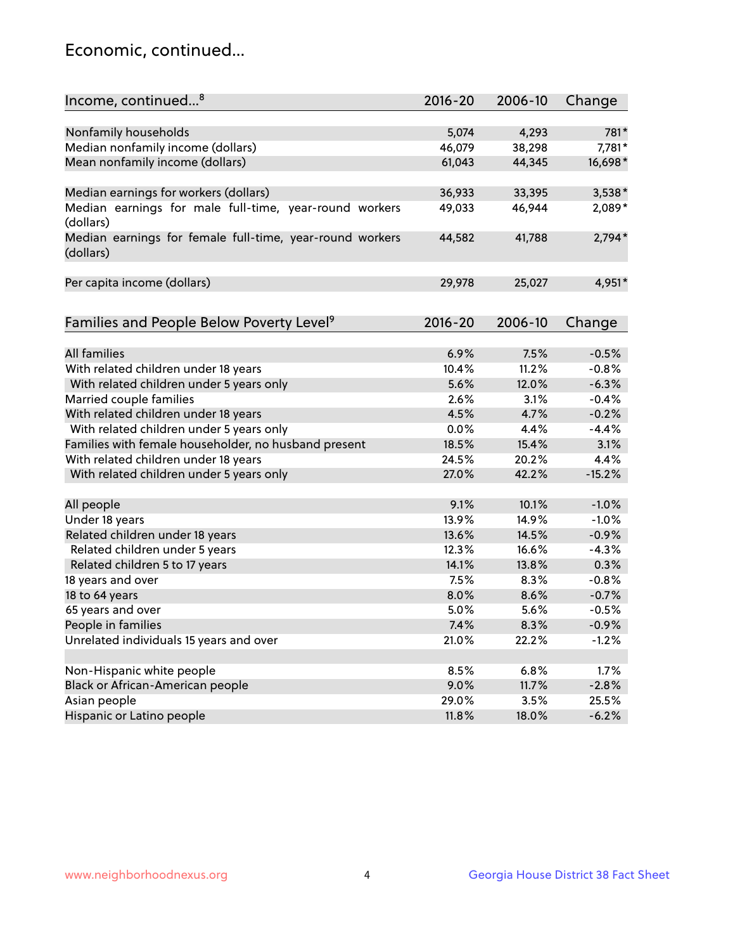## Economic, continued...

| Income, continued <sup>8</sup>                                        | $2016 - 20$ | 2006-10 | Change   |
|-----------------------------------------------------------------------|-------------|---------|----------|
|                                                                       |             |         |          |
| Nonfamily households                                                  | 5,074       | 4,293   | 781*     |
| Median nonfamily income (dollars)                                     | 46,079      | 38,298  | 7,781*   |
| Mean nonfamily income (dollars)                                       | 61,043      | 44,345  | 16,698*  |
| Median earnings for workers (dollars)                                 | 36,933      | 33,395  | 3,538*   |
| Median earnings for male full-time, year-round workers<br>(dollars)   | 49,033      | 46,944  | 2,089*   |
| Median earnings for female full-time, year-round workers<br>(dollars) | 44,582      | 41,788  | $2,794*$ |
| Per capita income (dollars)                                           | 29,978      | 25,027  | 4,951*   |
|                                                                       |             |         |          |
| Families and People Below Poverty Level <sup>9</sup>                  | $2016 - 20$ | 2006-10 | Change   |
| <b>All families</b>                                                   | 6.9%        | 7.5%    | $-0.5%$  |
| With related children under 18 years                                  | 10.4%       | 11.2%   | $-0.8%$  |
| With related children under 5 years only                              | 5.6%        | 12.0%   | $-6.3%$  |
| Married couple families                                               | 2.6%        | 3.1%    | $-0.4%$  |
| With related children under 18 years                                  | 4.5%        | 4.7%    | $-0.2%$  |
| With related children under 5 years only                              | 0.0%        | 4.4%    | $-4.4%$  |
| Families with female householder, no husband present                  | 18.5%       | 15.4%   | 3.1%     |
| With related children under 18 years                                  | 24.5%       | 20.2%   | 4.4%     |
| With related children under 5 years only                              | 27.0%       | 42.2%   | $-15.2%$ |
|                                                                       |             |         |          |
| All people                                                            | 9.1%        | 10.1%   | $-1.0%$  |
| Under 18 years                                                        | 13.9%       | 14.9%   | $-1.0%$  |
| Related children under 18 years                                       | 13.6%       | 14.5%   | $-0.9%$  |
| Related children under 5 years                                        | 12.3%       | 16.6%   | $-4.3%$  |
| Related children 5 to 17 years                                        | 14.1%       | 13.8%   | 0.3%     |
| 18 years and over                                                     | 7.5%        | 8.3%    | $-0.8%$  |
| 18 to 64 years                                                        | 8.0%        | 8.6%    | $-0.7%$  |
| 65 years and over                                                     | 5.0%        | 5.6%    | $-0.5%$  |
| People in families                                                    | 7.4%        | 8.3%    | $-0.9%$  |
| Unrelated individuals 15 years and over                               | 21.0%       | 22.2%   | $-1.2%$  |
|                                                                       |             |         |          |
| Non-Hispanic white people                                             | 8.5%        | 6.8%    | 1.7%     |
| Black or African-American people                                      | 9.0%        | 11.7%   | $-2.8%$  |
| Asian people                                                          | 29.0%       | 3.5%    | 25.5%    |
| Hispanic or Latino people                                             | 11.8%       | 18.0%   | $-6.2%$  |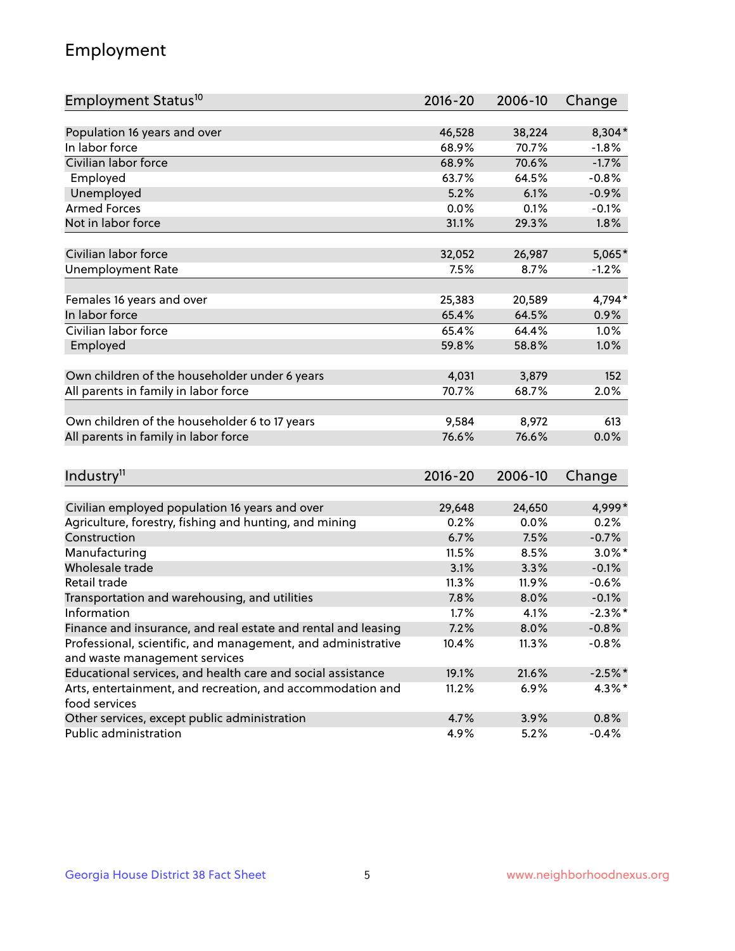## Employment

| Employment Status <sup>10</sup>                                             | $2016 - 20$ | 2006-10 | Change     |
|-----------------------------------------------------------------------------|-------------|---------|------------|
|                                                                             |             |         |            |
| Population 16 years and over                                                | 46,528      | 38,224  | 8,304*     |
| In labor force                                                              | 68.9%       | 70.7%   | $-1.8%$    |
| Civilian labor force                                                        | 68.9%       | 70.6%   | $-1.7%$    |
| Employed                                                                    | 63.7%       | 64.5%   | $-0.8%$    |
| Unemployed                                                                  | 5.2%        | 6.1%    | $-0.9%$    |
| <b>Armed Forces</b>                                                         | 0.0%        | 0.1%    | $-0.1%$    |
| Not in labor force                                                          | 31.1%       | 29.3%   | 1.8%       |
| Civilian labor force                                                        | 32,052      | 26,987  | $5,065*$   |
| <b>Unemployment Rate</b>                                                    | 7.5%        | 8.7%    | $-1.2%$    |
|                                                                             |             |         |            |
| Females 16 years and over                                                   | 25,383      | 20,589  | 4,794*     |
| In labor force                                                              | 65.4%       | 64.5%   | 0.9%       |
| Civilian labor force                                                        | 65.4%       | 64.4%   | 1.0%       |
| Employed                                                                    | 59.8%       | 58.8%   | 1.0%       |
| Own children of the householder under 6 years                               | 4,031       | 3,879   | 152        |
|                                                                             | 70.7%       | 68.7%   | 2.0%       |
| All parents in family in labor force                                        |             |         |            |
| Own children of the householder 6 to 17 years                               | 9,584       | 8,972   | 613        |
| All parents in family in labor force                                        | 76.6%       | 76.6%   | 0.0%       |
|                                                                             |             |         |            |
| Industry <sup>11</sup>                                                      | $2016 - 20$ | 2006-10 | Change     |
|                                                                             |             |         |            |
| Civilian employed population 16 years and over                              | 29,648      | 24,650  | 4,999*     |
| Agriculture, forestry, fishing and hunting, and mining                      | 0.2%        | 0.0%    | 0.2%       |
| Construction                                                                | 6.7%        | 7.5%    | $-0.7%$    |
| Manufacturing                                                               | 11.5%       | 8.5%    | $3.0\%$ *  |
| Wholesale trade                                                             | 3.1%        | 3.3%    | $-0.1%$    |
| Retail trade                                                                | 11.3%       | 11.9%   | $-0.6%$    |
| Transportation and warehousing, and utilities                               | 7.8%        | 8.0%    | $-0.1%$    |
| Information                                                                 | 1.7%        | 4.1%    | $-2.3\%$ * |
| Finance and insurance, and real estate and rental and leasing               | 7.2%        | 8.0%    | $-0.8%$    |
| Professional, scientific, and management, and administrative                | 10.4%       | 11.3%   | $-0.8%$    |
| and waste management services                                               |             |         |            |
| Educational services, and health care and social assistance                 | 19.1%       | 21.6%   | $-2.5%$ *  |
| Arts, entertainment, and recreation, and accommodation and<br>food services | 11.2%       | 6.9%    | $4.3\%$ *  |
| Other services, except public administration                                | 4.7%        | 3.9%    | 0.8%       |
| Public administration                                                       | 4.9%        | 5.2%    | $-0.4%$    |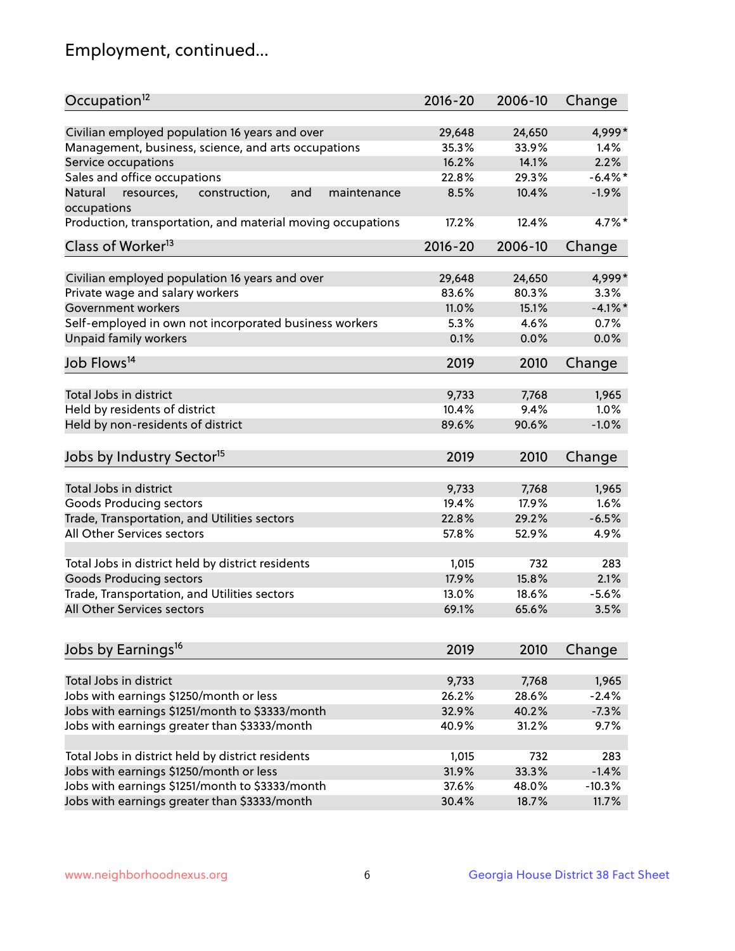## Employment, continued...

| Occupation <sup>12</sup>                                     | $2016 - 20$ | 2006-10 | Change     |
|--------------------------------------------------------------|-------------|---------|------------|
| Civilian employed population 16 years and over               | 29,648      | 24,650  | 4,999*     |
| Management, business, science, and arts occupations          | 35.3%       | 33.9%   | 1.4%       |
| Service occupations                                          | 16.2%       | 14.1%   | 2.2%       |
| Sales and office occupations                                 | 22.8%       | 29.3%   | $-6.4\%$ * |
| Natural<br>and<br>resources,<br>construction,<br>maintenance | 8.5%        | 10.4%   | $-1.9%$    |
| occupations                                                  |             |         |            |
| Production, transportation, and material moving occupations  | 17.2%       | 12.4%   | 4.7%*      |
| Class of Worker <sup>13</sup>                                | $2016 - 20$ | 2006-10 | Change     |
| Civilian employed population 16 years and over               | 29,648      | 24,650  | 4,999*     |
| Private wage and salary workers                              | 83.6%       | 80.3%   | 3.3%       |
| Government workers                                           | 11.0%       | 15.1%   | $-4.1\%$ * |
| Self-employed in own not incorporated business workers       | 5.3%        | 4.6%    | 0.7%       |
| Unpaid family workers                                        | 0.1%        | 0.0%    | 0.0%       |
| Job Flows <sup>14</sup>                                      | 2019        | 2010    | Change     |
|                                                              |             |         |            |
| Total Jobs in district                                       | 9,733       | 7,768   | 1,965      |
| Held by residents of district                                | 10.4%       | 9.4%    | 1.0%       |
| Held by non-residents of district                            | 89.6%       | 90.6%   | $-1.0%$    |
| Jobs by Industry Sector <sup>15</sup>                        | 2019        | 2010    | Change     |
| Total Jobs in district                                       | 9,733       | 7,768   | 1,965      |
| Goods Producing sectors                                      | 19.4%       | 17.9%   | 1.6%       |
| Trade, Transportation, and Utilities sectors                 | 22.8%       | 29.2%   | $-6.5%$    |
| All Other Services sectors                                   | 57.8%       | 52.9%   | 4.9%       |
|                                                              |             |         |            |
| Total Jobs in district held by district residents            | 1,015       | 732     | 283        |
| <b>Goods Producing sectors</b>                               | 17.9%       | 15.8%   | 2.1%       |
| Trade, Transportation, and Utilities sectors                 | 13.0%       | 18.6%   | $-5.6%$    |
| All Other Services sectors                                   | 69.1%       | 65.6%   | 3.5%       |
|                                                              |             |         |            |
| Jobs by Earnings <sup>16</sup>                               | 2019        | 2010    | Change     |
| Total Jobs in district                                       | 9,733       | 7,768   | 1,965      |
| Jobs with earnings \$1250/month or less                      | 26.2%       | 28.6%   | $-2.4%$    |
| Jobs with earnings \$1251/month to \$3333/month              | 32.9%       | 40.2%   | $-7.3%$    |
| Jobs with earnings greater than \$3333/month                 | 40.9%       | 31.2%   | 9.7%       |
|                                                              |             |         |            |
| Total Jobs in district held by district residents            | 1,015       | 732     | 283        |
| Jobs with earnings \$1250/month or less                      | 31.9%       | 33.3%   | $-1.4%$    |
| Jobs with earnings \$1251/month to \$3333/month              | 37.6%       | 48.0%   | $-10.3%$   |
| Jobs with earnings greater than \$3333/month                 | 30.4%       | 18.7%   | 11.7%      |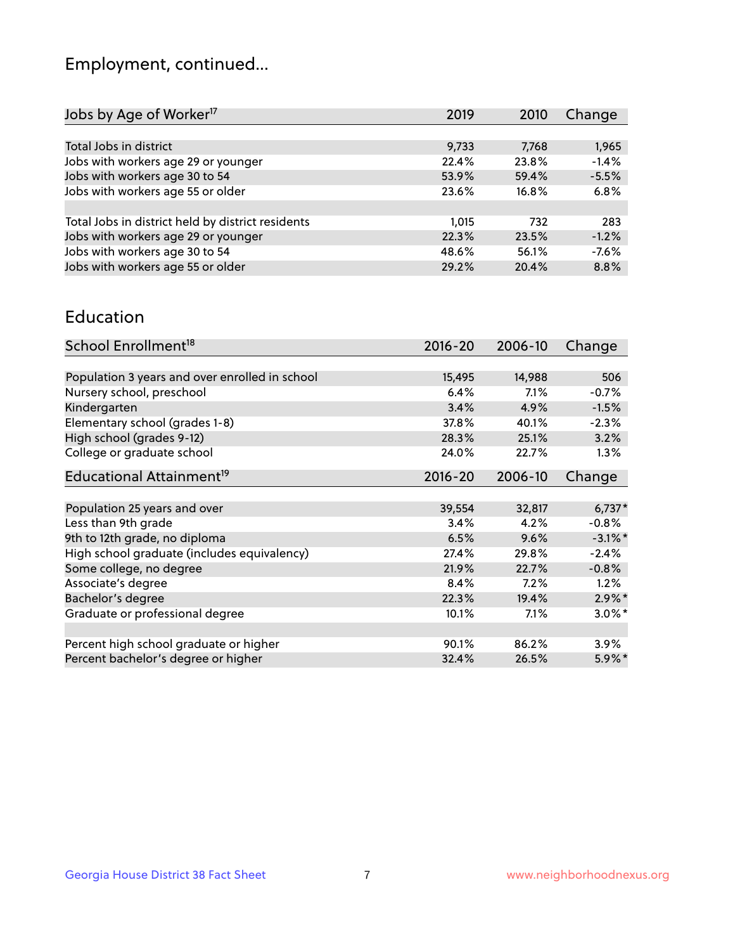## Employment, continued...

| 2019  | 2010  | Change  |
|-------|-------|---------|
|       |       |         |
| 9,733 | 7,768 | 1,965   |
| 22.4% | 23.8% | $-1.4%$ |
| 53.9% | 59.4% | $-5.5%$ |
| 23.6% | 16.8% | 6.8%    |
|       |       |         |
| 1,015 | 732   | 283     |
| 22.3% | 23.5% | $-1.2%$ |
| 48.6% | 56.1% | $-7.6%$ |
| 29.2% | 20.4% | 8.8%    |
|       |       |         |

#### Education

| School Enrollment <sup>18</sup>                | $2016 - 20$ | 2006-10 | Change     |
|------------------------------------------------|-------------|---------|------------|
|                                                |             |         |            |
| Population 3 years and over enrolled in school | 15,495      | 14,988  | 506        |
| Nursery school, preschool                      | 6.4%        | 7.1%    | $-0.7%$    |
| Kindergarten                                   | 3.4%        | 4.9%    | $-1.5%$    |
| Elementary school (grades 1-8)                 | 37.8%       | 40.1%   | $-2.3%$    |
| High school (grades 9-12)                      | 28.3%       | 25.1%   | 3.2%       |
| College or graduate school                     | 24.0%       | 22.7%   | $1.3\%$    |
| Educational Attainment <sup>19</sup>           | $2016 - 20$ | 2006-10 | Change     |
|                                                |             |         |            |
| Population 25 years and over                   | 39,554      | 32,817  | $6,737*$   |
| Less than 9th grade                            | 3.4%        | 4.2%    | $-0.8%$    |
| 9th to 12th grade, no diploma                  | 6.5%        | 9.6%    | $-3.1\%$ * |
| High school graduate (includes equivalency)    | 27.4%       | 29.8%   | $-2.4%$    |
| Some college, no degree                        | 21.9%       | 22.7%   | $-0.8%$    |
| Associate's degree                             | 8.4%        | 7.2%    | 1.2%       |
| Bachelor's degree                              | 22.3%       | 19.4%   | $2.9\%$ *  |
| Graduate or professional degree                | 10.1%       | 7.1%    | $3.0\%$ *  |
|                                                |             |         |            |
| Percent high school graduate or higher         | 90.1%       | 86.2%   | 3.9%       |
| Percent bachelor's degree or higher            | 32.4%       | 26.5%   | 5.9%*      |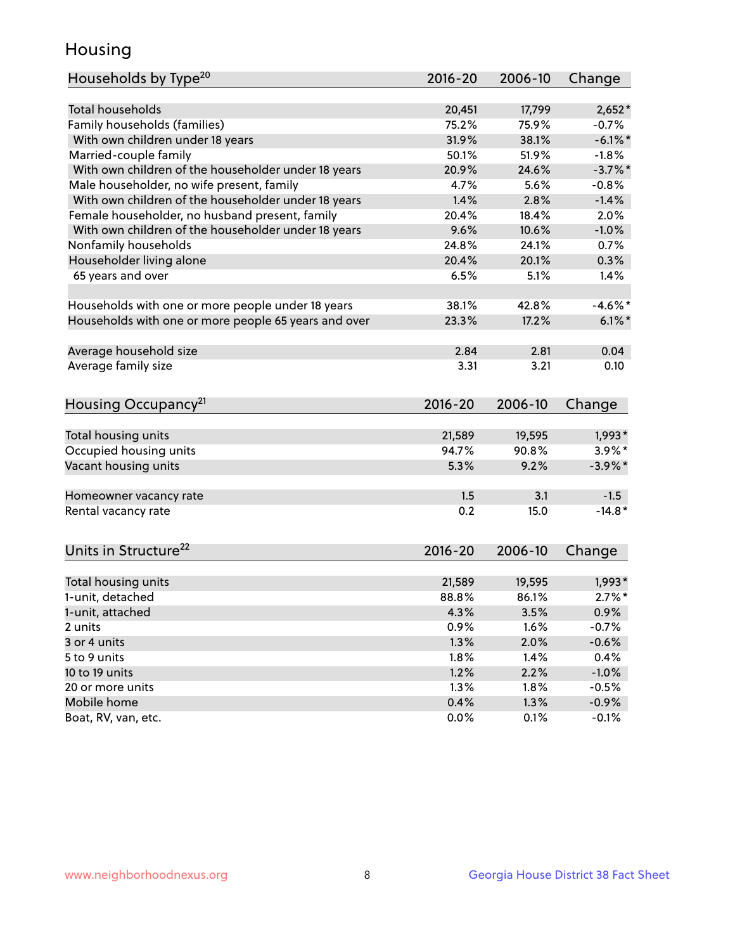## Housing

| Households by Type <sup>20</sup>                     | 2016-20         | 2006-10         |                       |
|------------------------------------------------------|-----------------|-----------------|-----------------------|
|                                                      |                 |                 | Change                |
| <b>Total households</b>                              | 20,451          | 17,799          | $2,652*$              |
| Family households (families)                         | 75.2%           | 75.9%           | $-0.7%$               |
| With own children under 18 years                     | 31.9%           | 38.1%           | $-6.1\%$ *            |
| Married-couple family                                | 50.1%           | 51.9%           | $-1.8%$               |
| With own children of the householder under 18 years  | 20.9%           | 24.6%           | $-3.7\%$ *            |
| Male householder, no wife present, family            | 4.7%            | 5.6%            | $-0.8%$               |
| With own children of the householder under 18 years  | 1.4%            | 2.8%            | $-1.4%$               |
| Female householder, no husband present, family       | 20.4%           | 18.4%           | 2.0%                  |
| With own children of the householder under 18 years  | 9.6%            | 10.6%           | $-1.0%$               |
| Nonfamily households                                 | 24.8%           | 24.1%           | 0.7%                  |
| Householder living alone                             | 20.4%           | 20.1%           | 0.3%                  |
| 65 years and over                                    | 6.5%            | 5.1%            | 1.4%                  |
|                                                      |                 |                 |                       |
| Households with one or more people under 18 years    | 38.1%           | 42.8%           | $-4.6\%$ *            |
| Households with one or more people 65 years and over | 23.3%           | 17.2%           | $6.1\%$ *             |
|                                                      |                 |                 |                       |
| Average household size                               | 2.84            | 2.81            | 0.04                  |
| Average family size                                  | 3.31            | 3.21            | 0.10                  |
|                                                      |                 |                 |                       |
| Housing Occupancy <sup>21</sup>                      | 2016-20         | 2006-10         | Change                |
|                                                      |                 |                 |                       |
| Total housing units                                  | 21,589<br>94.7% | 19,595<br>90.8% | $1,993*$<br>$3.9\%$ * |
| Occupied housing units                               |                 |                 |                       |
| Vacant housing units                                 | 5.3%            | 9.2%            | $-3.9\%$ *            |
| Homeowner vacancy rate                               | 1.5             | 3.1             | $-1.5$                |
| Rental vacancy rate                                  | 0.2             | 15.0            | $-14.8*$              |
|                                                      |                 |                 |                       |
| Units in Structure <sup>22</sup>                     | $2016 - 20$     | 2006-10         | Change                |
|                                                      |                 |                 |                       |
| Total housing units                                  | 21,589          | 19,595          | 1,993*<br>$2.7\%$ *   |
| 1-unit, detached                                     | 88.8%           | 86.1%           |                       |
| 1-unit, attached                                     | 4.3%            | 3.5%            | 0.9%                  |
| 2 units                                              | 0.9%            | 1.6%            | $-0.7%$               |
| 3 or 4 units                                         | 1.3%            | 2.0%            | $-0.6%$               |
| 5 to 9 units                                         | $1.8\%$         | 1.4%            | 0.4%                  |
| 10 to 19 units                                       | 1.2%            | 2.2%            | $-1.0\%$              |
| 20 or more units                                     | 1.3%            | 1.8%            | $-0.5%$               |
| Mobile home                                          | 0.4%            | 1.3%            | $-0.9\%$              |
| Boat, RV, van, etc.                                  | 0.0%            | 0.1%            | $-0.1%$               |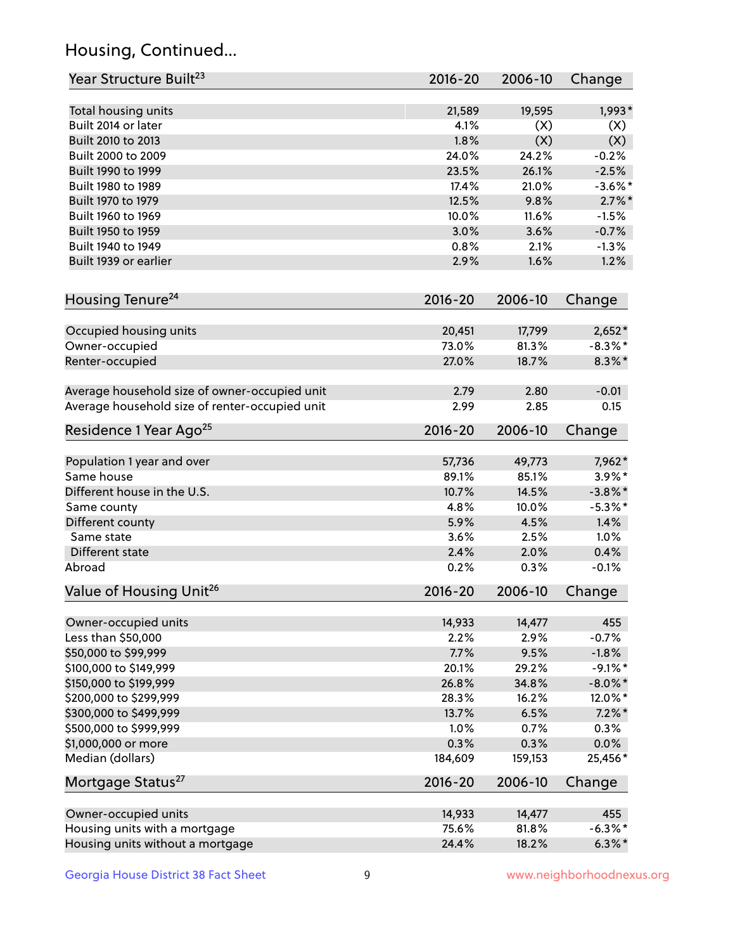## Housing, Continued...

| Year Structure Built <sup>23</sup>             | 2016-20     | 2006-10 | Change     |
|------------------------------------------------|-------------|---------|------------|
| Total housing units                            | 21,589      | 19,595  | $1,993*$   |
| Built 2014 or later                            | 4.1%        | (X)     | (X)        |
| Built 2010 to 2013                             | 1.8%        | (X)     | (X)        |
| Built 2000 to 2009                             | 24.0%       | 24.2%   | $-0.2%$    |
| Built 1990 to 1999                             | 23.5%       | 26.1%   | $-2.5%$    |
| Built 1980 to 1989                             | 17.4%       | 21.0%   | $-3.6%$ *  |
| Built 1970 to 1979                             | 12.5%       | 9.8%    | $2.7\%$ *  |
| Built 1960 to 1969                             | 10.0%       | 11.6%   | $-1.5%$    |
| Built 1950 to 1959                             | 3.0%        | 3.6%    | $-0.7%$    |
| Built 1940 to 1949                             | 0.8%        | 2.1%    | $-1.3%$    |
| Built 1939 or earlier                          | 2.9%        | 1.6%    | 1.2%       |
| Housing Tenure <sup>24</sup>                   | $2016 - 20$ | 2006-10 | Change     |
|                                                |             |         |            |
| Occupied housing units                         | 20,451      | 17,799  | $2,652*$   |
| Owner-occupied                                 | 73.0%       | 81.3%   | $-8.3\%$ * |
| Renter-occupied                                | 27.0%       | 18.7%   | $8.3\%$ *  |
| Average household size of owner-occupied unit  | 2.79        | 2.80    | $-0.01$    |
| Average household size of renter-occupied unit | 2.99        | 2.85    | 0.15       |
| Residence 1 Year Ago <sup>25</sup>             | $2016 - 20$ | 2006-10 | Change     |
| Population 1 year and over                     | 57,736      | 49,773  | 7,962*     |
| Same house                                     | 89.1%       | 85.1%   | $3.9\%$ *  |
| Different house in the U.S.                    | 10.7%       | 14.5%   | $-3.8\%$ * |
| Same county                                    | 4.8%        | 10.0%   | $-5.3\%$ * |
| Different county                               | 5.9%        | 4.5%    | 1.4%       |
| Same state                                     | 3.6%        | 2.5%    | 1.0%       |
| Different state                                | 2.4%        | 2.0%    | 0.4%       |
| Abroad                                         | 0.2%        | 0.3%    | $-0.1%$    |
| Value of Housing Unit <sup>26</sup>            | $2016 - 20$ | 2006-10 | Change     |
|                                                |             |         |            |
| Owner-occupied units                           | 14,933      | 14,477  | 455        |
| Less than \$50,000                             | 2.2%        | 2.9%    | $-0.7%$    |
| \$50,000 to \$99,999                           | 7.7%        | 9.5%    | $-1.8%$    |
| \$100,000 to \$149,999                         | 20.1%       | 29.2%   | $-9.1\%$ * |
| \$150,000 to \$199,999                         | 26.8%       | 34.8%   | $-8.0\%$ * |
| \$200,000 to \$299,999                         | 28.3%       | 16.2%   | 12.0%*     |
| \$300,000 to \$499,999                         | 13.7%       | 6.5%    | $7.2\%$ *  |
| \$500,000 to \$999,999                         | 1.0%        | 0.7%    | 0.3%       |
| \$1,000,000 or more                            | 0.3%        | 0.3%    | 0.0%       |
| Median (dollars)                               | 184,609     | 159,153 | 25,456*    |
| Mortgage Status <sup>27</sup>                  | $2016 - 20$ | 2006-10 | Change     |
| Owner-occupied units                           | 14,933      | 14,477  | 455        |
| Housing units with a mortgage                  | 75.6%       | 81.8%   | $-6.3\%$ * |
| Housing units without a mortgage               | 24.4%       | 18.2%   | $6.3\%*$   |
|                                                |             |         |            |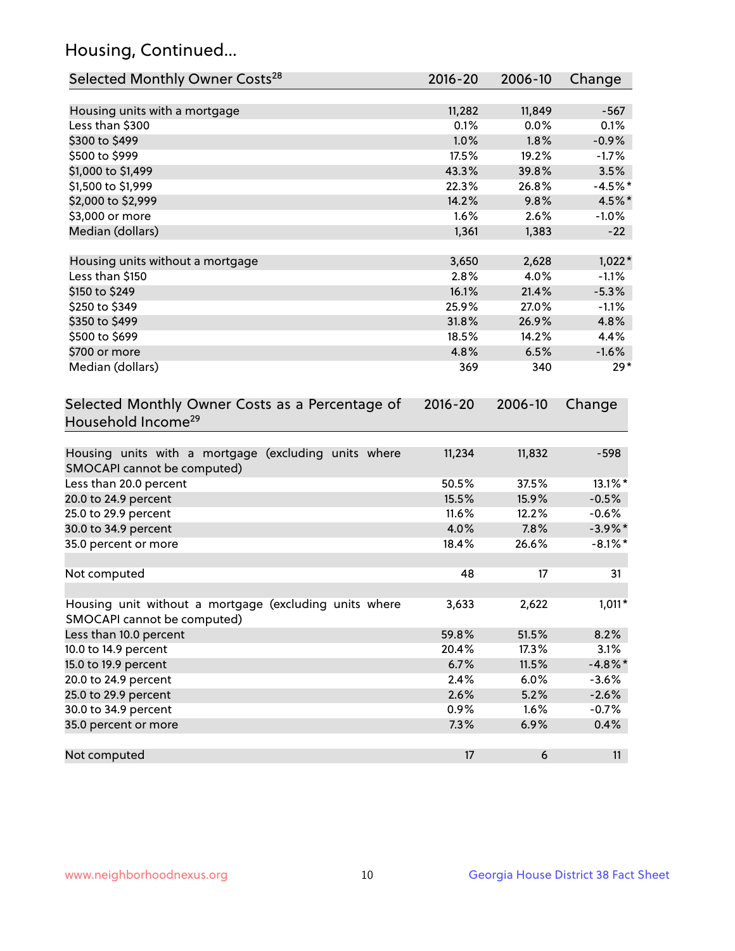## Housing, Continued...

| Selected Monthly Owner Costs <sup>28</sup>                                            | 2016-20     | 2006-10 | Change     |
|---------------------------------------------------------------------------------------|-------------|---------|------------|
| Housing units with a mortgage                                                         | 11,282      | 11,849  | $-567$     |
| Less than \$300                                                                       | 0.1%        | 0.0%    | 0.1%       |
| \$300 to \$499                                                                        | 1.0%        | 1.8%    | $-0.9%$    |
| \$500 to \$999                                                                        | 17.5%       | 19.2%   | $-1.7%$    |
| \$1,000 to \$1,499                                                                    | 43.3%       | 39.8%   | 3.5%       |
| \$1,500 to \$1,999                                                                    | 22.3%       | 26.8%   | $-4.5%$ *  |
| \$2,000 to \$2,999                                                                    | 14.2%       | 9.8%    | 4.5%*      |
| \$3,000 or more                                                                       | 1.6%        | 2.6%    | $-1.0%$    |
| Median (dollars)                                                                      | 1,361       | 1,383   | $-22$      |
|                                                                                       |             |         |            |
| Housing units without a mortgage                                                      | 3,650       | 2,628   | $1,022*$   |
| Less than \$150                                                                       | 2.8%        | 4.0%    | $-1.1%$    |
| \$150 to \$249                                                                        | 16.1%       | 21.4%   | $-5.3%$    |
| \$250 to \$349                                                                        | 25.9%       | 27.0%   | $-1.1%$    |
| \$350 to \$499                                                                        | 31.8%       | 26.9%   | 4.8%       |
| \$500 to \$699                                                                        | 18.5%       | 14.2%   | 4.4%       |
| \$700 or more                                                                         | 4.8%        | 6.5%    | $-1.6%$    |
| Median (dollars)                                                                      | 369         | 340     | $29*$      |
| Selected Monthly Owner Costs as a Percentage of<br>Household Income <sup>29</sup>     | $2016 - 20$ | 2006-10 | Change     |
| Housing units with a mortgage (excluding units where<br>SMOCAPI cannot be computed)   | 11,234      | 11,832  | $-598$     |
| Less than 20.0 percent                                                                | 50.5%       | 37.5%   | 13.1%*     |
| 20.0 to 24.9 percent                                                                  | 15.5%       | 15.9%   | $-0.5%$    |
| 25.0 to 29.9 percent                                                                  | 11.6%       | 12.2%   | $-0.6%$    |
| 30.0 to 34.9 percent                                                                  | 4.0%        | 7.8%    | $-3.9\%$ * |
| 35.0 percent or more                                                                  | 18.4%       | 26.6%   | $-8.1\%$ * |
| Not computed                                                                          | 48          | 17      | 31         |
| Housing unit without a mortgage (excluding units where<br>SMOCAPI cannot be computed) | 3,633       | 2,622   | $1,011*$   |
| Less than 10.0 percent                                                                | 59.8%       | 51.5%   | 8.2%       |
| 10.0 to 14.9 percent                                                                  | 20.4%       | 17.3%   | 3.1%       |
| 15.0 to 19.9 percent                                                                  | 6.7%        | 11.5%   | $-4.8\%$ * |
| 20.0 to 24.9 percent                                                                  | 2.4%        | 6.0%    | $-3.6%$    |
| 25.0 to 29.9 percent                                                                  | 2.6%        | 5.2%    | $-2.6%$    |
| 30.0 to 34.9 percent                                                                  | 0.9%        | 1.6%    | $-0.7%$    |
| 35.0 percent or more                                                                  | 7.3%        | 6.9%    | 0.4%       |
| Not computed                                                                          | 17          | 6       | 11         |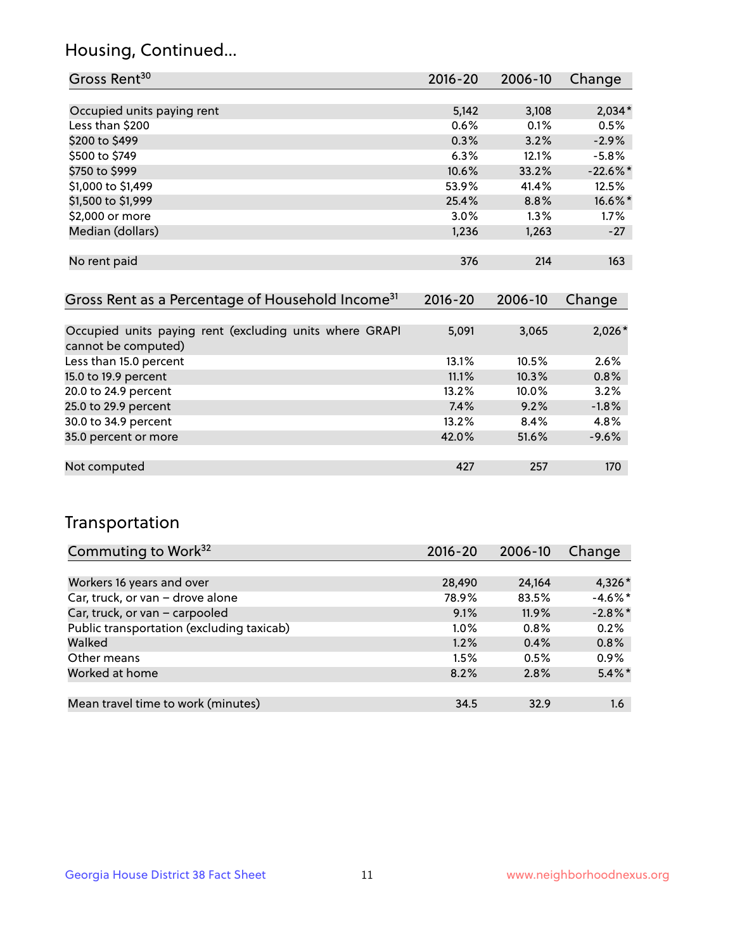### Housing, Continued...

| Gross Rent <sup>30</sup>   | 2016-20 | 2006-10 | Change      |
|----------------------------|---------|---------|-------------|
|                            |         |         |             |
| Occupied units paying rent | 5,142   | 3,108   | $2,034*$    |
| Less than \$200            | 0.6%    | 0.1%    | 0.5%        |
| \$200 to \$499             | 0.3%    | 3.2%    | $-2.9%$     |
| \$500 to \$749             | 6.3%    | 12.1%   | $-5.8\%$    |
| \$750 to \$999             | 10.6%   | 33.2%   | $-22.6\%$ * |
| \$1,000 to \$1,499         | 53.9%   | 41.4%   | 12.5%       |
| \$1,500 to \$1,999         | 25.4%   | 8.8%    | 16.6%*      |
| \$2,000 or more            | 3.0%    | $1.3\%$ | 1.7%        |
| Median (dollars)           | 1,236   | 1,263   | $-27$       |
|                            |         |         |             |
| No rent paid               | 376     | 214     | 163         |
|                            |         |         |             |

| Gross Rent as a Percentage of Household Income <sup>31</sup>                   | $2016 - 20$ | 2006-10 | Change   |
|--------------------------------------------------------------------------------|-------------|---------|----------|
|                                                                                |             |         |          |
| Occupied units paying rent (excluding units where GRAPI<br>cannot be computed) | 5,091       | 3,065   | $2,026*$ |
| Less than 15.0 percent                                                         | 13.1%       | 10.5%   | 2.6%     |
| 15.0 to 19.9 percent                                                           | 11.1%       | 10.3%   | 0.8%     |
| 20.0 to 24.9 percent                                                           | 13.2%       | 10.0%   | 3.2%     |
| 25.0 to 29.9 percent                                                           | 7.4%        | 9.2%    | $-1.8%$  |
| 30.0 to 34.9 percent                                                           | 13.2%       | 8.4%    | 4.8%     |
| 35.0 percent or more                                                           | 42.0%       | 51.6%   | $-9.6%$  |
|                                                                                |             |         |          |
| Not computed                                                                   | 427         | 257     | 170      |

## Transportation

| Commuting to Work <sup>32</sup>           | 2016-20 | 2006-10 | Change     |
|-------------------------------------------|---------|---------|------------|
|                                           |         |         |            |
| Workers 16 years and over                 | 28,490  | 24.164  | $4,326*$   |
| Car, truck, or van - drove alone          | 78.9%   | 83.5%   | $-4.6\%$ * |
| Car, truck, or van - carpooled            | 9.1%    | 11.9%   | $-2.8\%$ * |
| Public transportation (excluding taxicab) | $1.0\%$ | $0.8\%$ | 0.2%       |
| Walked                                    | 1.2%    | 0.4%    | 0.8%       |
| Other means                               | 1.5%    | 0.5%    | 0.9%       |
| Worked at home                            | 8.2%    | 2.8%    | $5.4\%$ *  |
|                                           |         |         |            |
| Mean travel time to work (minutes)        | 34.5    | 32.9    | 1.6        |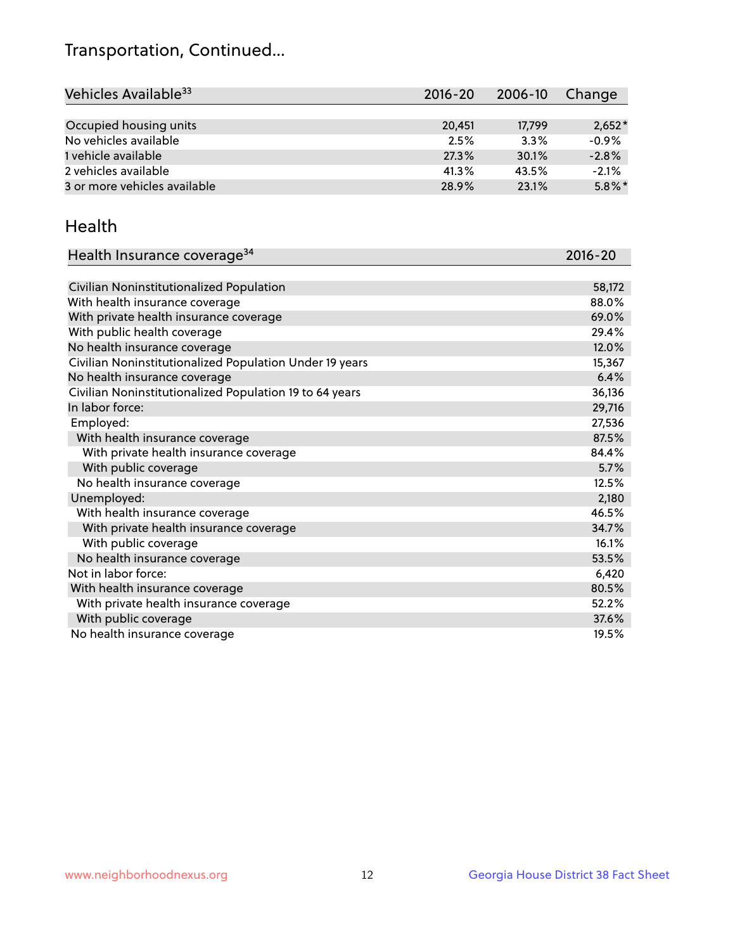## Transportation, Continued...

| Vehicles Available <sup>33</sup> | $2016 - 20$ | $2006 - 10$ | Change    |
|----------------------------------|-------------|-------------|-----------|
|                                  |             |             |           |
| Occupied housing units           | 20.451      | 17,799      | $2,652*$  |
| No vehicles available            | 2.5%        | 3.3%        | $-0.9%$   |
| 1 vehicle available              | 27.3%       | 30.1%       | $-2.8%$   |
| 2 vehicles available             | 41.3%       | 43.5%       | $-2.1%$   |
| 3 or more vehicles available     | 28.9%       | 23.1%       | $5.8\%$ * |

#### Health

| Health Insurance coverage <sup>34</sup>                 | 2016-20 |
|---------------------------------------------------------|---------|
|                                                         |         |
| Civilian Noninstitutionalized Population                | 58,172  |
| With health insurance coverage                          | 88.0%   |
| With private health insurance coverage                  | 69.0%   |
| With public health coverage                             | 29.4%   |
| No health insurance coverage                            | 12.0%   |
| Civilian Noninstitutionalized Population Under 19 years | 15,367  |
| No health insurance coverage                            | 6.4%    |
| Civilian Noninstitutionalized Population 19 to 64 years | 36,136  |
| In labor force:                                         | 29,716  |
| Employed:                                               | 27,536  |
| With health insurance coverage                          | 87.5%   |
| With private health insurance coverage                  | 84.4%   |
| With public coverage                                    | 5.7%    |
| No health insurance coverage                            | 12.5%   |
| Unemployed:                                             | 2,180   |
| With health insurance coverage                          | 46.5%   |
| With private health insurance coverage                  | 34.7%   |
| With public coverage                                    | 16.1%   |
| No health insurance coverage                            | 53.5%   |
| Not in labor force:                                     | 6,420   |
| With health insurance coverage                          | 80.5%   |
| With private health insurance coverage                  | 52.2%   |
| With public coverage                                    | 37.6%   |
| No health insurance coverage                            | 19.5%   |